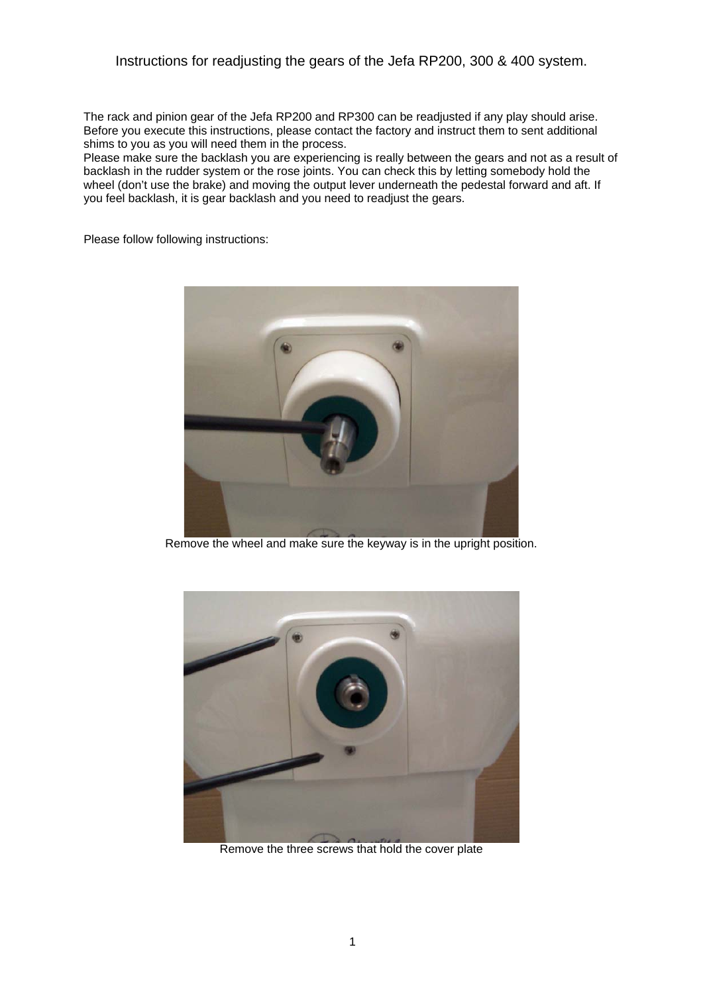## Instructions for readjusting the gears of the Jefa RP200, 300 & 400 system.

The rack and pinion gear of the Jefa RP200 and RP300 can be readjusted if any play should arise. Before you execute this instructions, please contact the factory and instruct them to sent additional shims to you as you will need them in the process.

Please make sure the backlash you are experiencing is really between the gears and not as a result of backlash in the rudder system or the rose joints. You can check this by letting somebody hold the wheel (don't use the brake) and moving the output lever underneath the pedestal forward and aft. If you feel backlash, it is gear backlash and you need to readjust the gears.

Please follow following instructions:



Remove the wheel and make sure the keyway is in the upright position.



Remove the three screws that hold the cover plate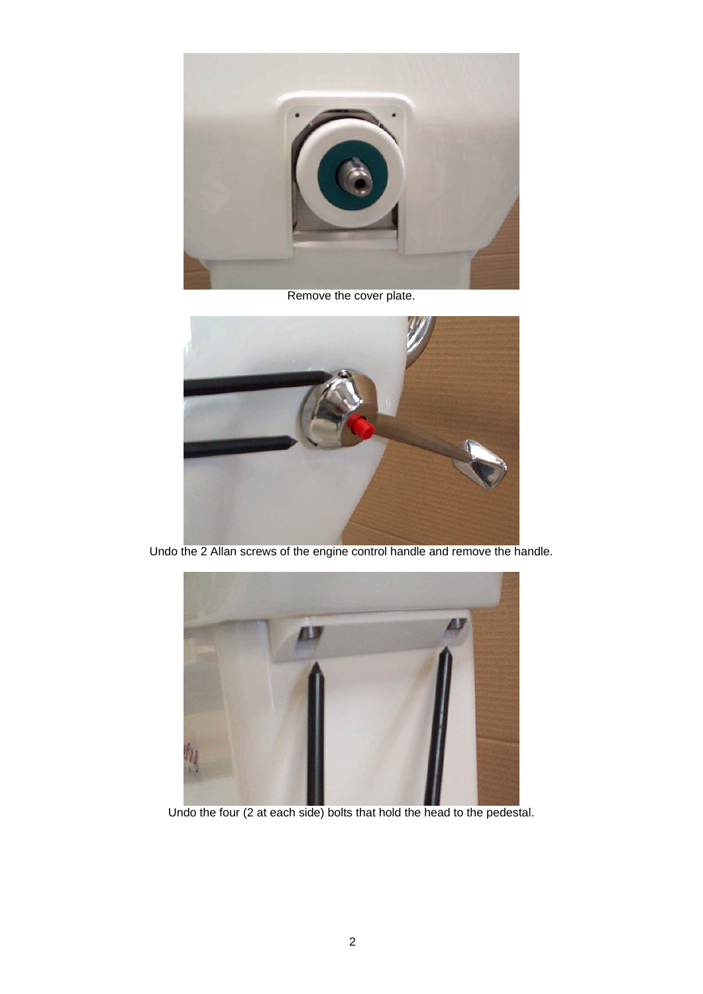

Remove the cover plate.



Undo the 2 Allan screws of the engine control handle and remove the handle.



Undo the four (2 at each side) bolts that hold the head to the pedestal.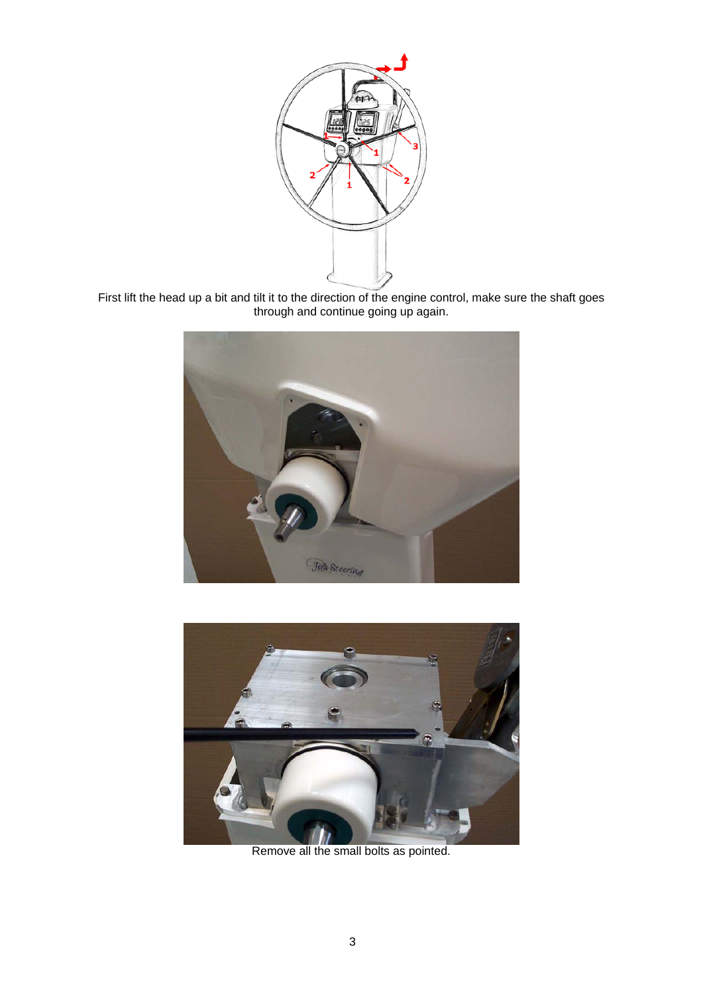

First lift the head up a bit and tilt it to the direction of the engine control, make sure the shaft goes through and continue going up again.





Remove all the small bolts as pointed.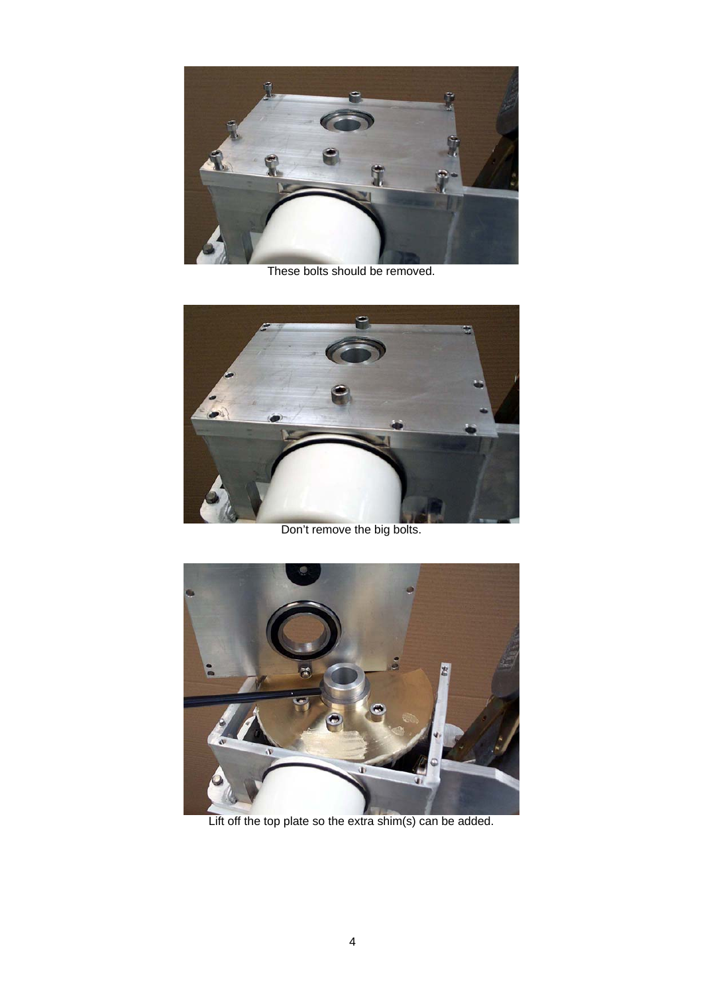

These bolts should be removed.



Don't remove the big bolts.



Lift off the top plate so the extra shim(s) can be added.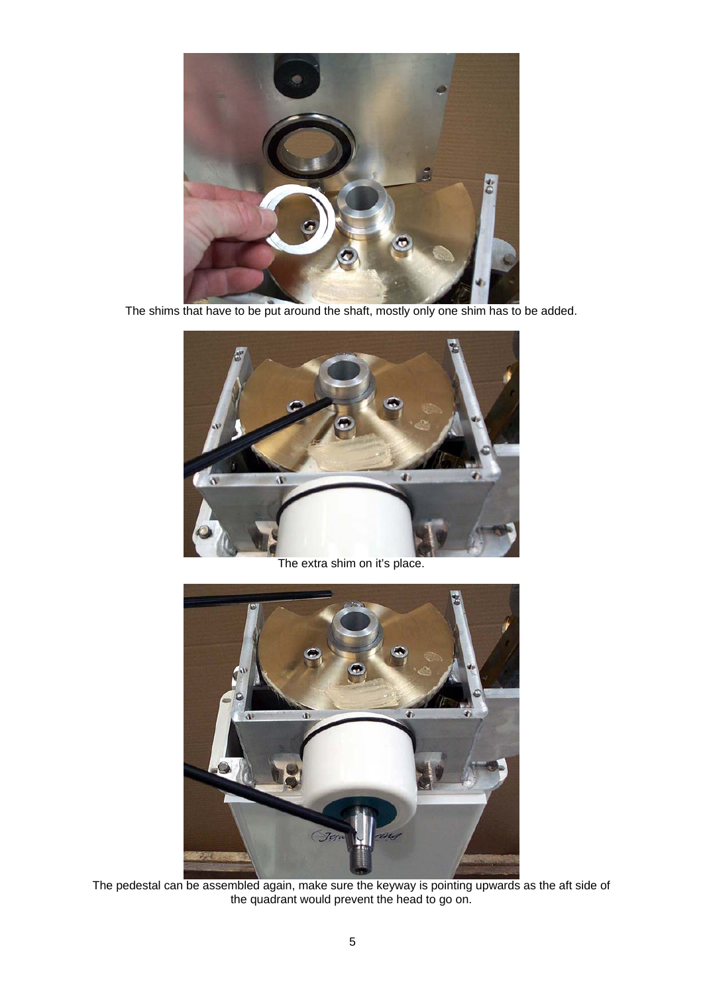

The shims that have to be put around the shaft, mostly only one shim has to be added.



The extra shim on it's place.



The pedestal can be assembled again, make sure the keyway is pointing upwards as the aft side of the quadrant would prevent the head to go on.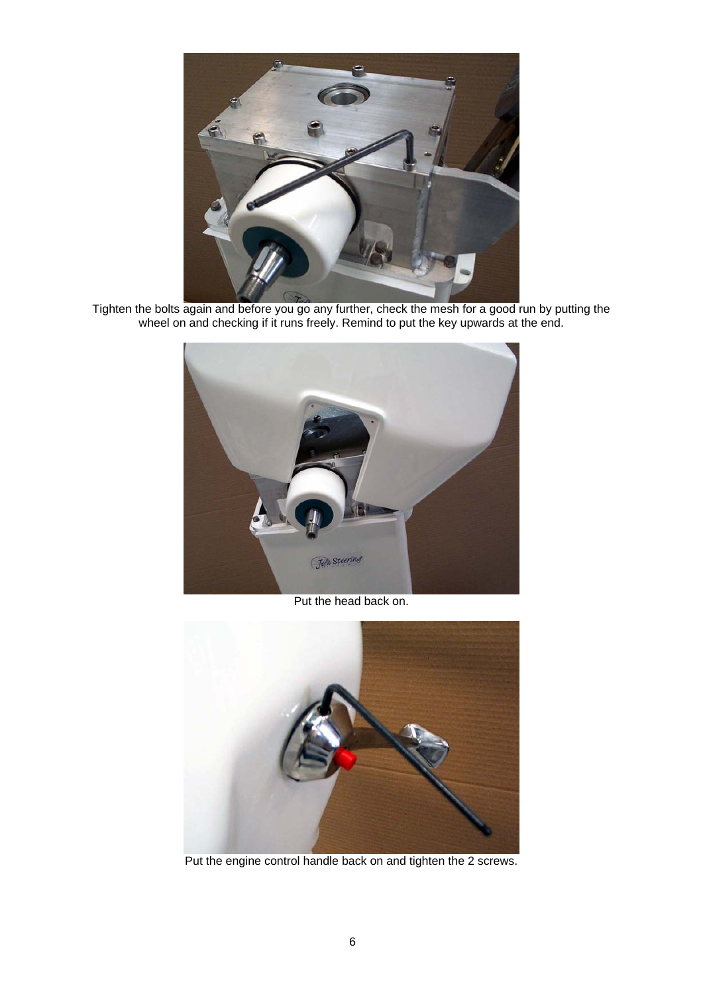

Tighten the bolts again and before you go any further, check the mesh for a good run by putting the wheel on and checking if it runs freely. Remind to put the key upwards at the end.



Put the head back on.



Put the engine control handle back on and tighten the 2 screws.